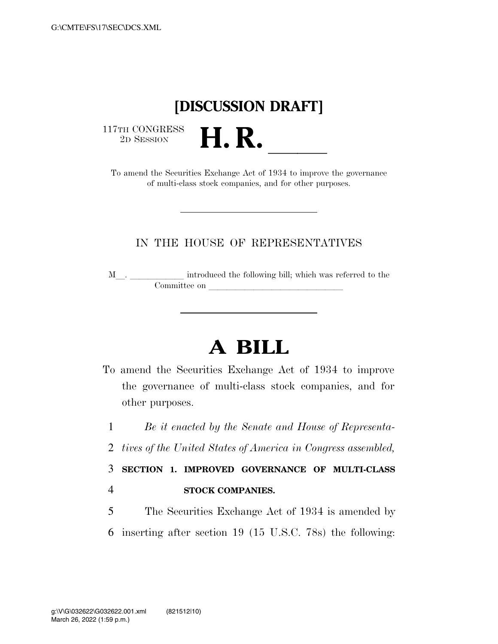## **[DISCUSSION DRAFT]**

 $\begin{array}{c} \text{117TH CONGRESS} \\ \text{2D Session} \end{array}$ 

2D SESSION **H. R.** ll To amend the Securities Exchange Act of 1934 to improve the governance of multi-class stock companies, and for other purposes.

## IN THE HOUSE OF REPRESENTATIVES

M  $\hfill\blacksquare$  <br> . <br> <br> <br> <br> <br> <br> <br> <br> <br> introduced the following bill; which was referred to the Committee on later and later the committee on later and later than  $\sim$ 

## **A BILL**

To amend the Securities Exchange Act of 1934 to improve the governance of multi-class stock companies, and for other purposes.

1 *Be it enacted by the Senate and House of Representa-*

2 *tives of the United States of America in Congress assembled,* 

3 **SECTION 1. IMPROVED GOVERNANCE OF MULTI-CLASS**  4 **STOCK COMPANIES.** 

5 The Securities Exchange Act of 1934 is amended by 6 inserting after section 19 (15 U.S.C. 78s) the following: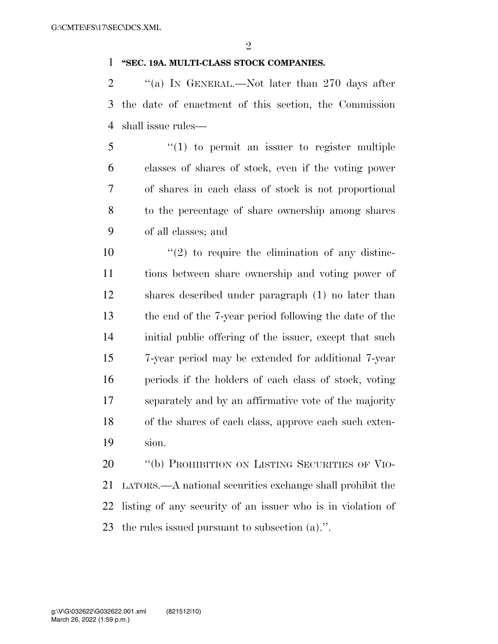## **''SEC. 19A. MULTI-CLASS STOCK COMPANIES.**

2 "(a) In GENERAL.—Not later than 270 days after the date of enactment of this section, the Commission shall issue rules—

- ''(1) to permit an issuer to register multiple classes of shares of stock, even if the voting power of shares in each class of stock is not proportional to the percentage of share ownership among shares of all classes; and
- $\binom{10}{2}$  to require the elimination of any distinc- tions between share ownership and voting power of shares described under paragraph (1) no later than the end of the 7-year period following the date of the initial public offering of the issuer, except that such 7-year period may be extended for additional 7-year periods if the holders of each class of stock, voting separately and by an affirmative vote of the majority of the shares of each class, approve each such exten-sion.

20 "(b) PROHIBITION ON LISTING SECURITIES OF VIO- LATORS.—A national securities exchange shall prohibit the listing of any security of an issuer who is in violation of the rules issued pursuant to subsection (a).''.